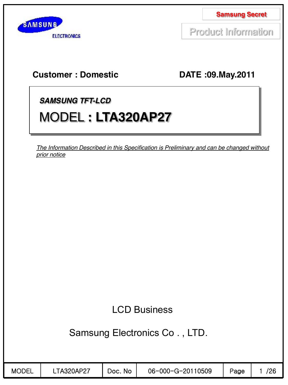



Product Information

# **Customer : Domestic DATE :09.May.2011**

*SAMSUNG TFT-LCD*

# MODEL **: LTA320AP27**

*The Information Described in this Specification is Preliminary and can be changed without prior notice*

LCD Business

Samsung Electronics Co . , LTD.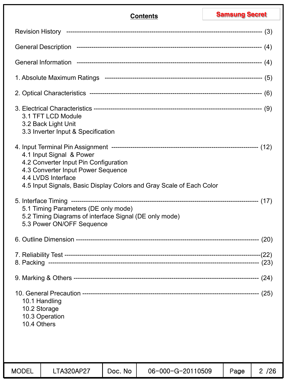|                             |                                                                                                                               |         | <b>Contents</b>                                                      | <b>Samsung Secret</b> |      |
|-----------------------------|-------------------------------------------------------------------------------------------------------------------------------|---------|----------------------------------------------------------------------|-----------------------|------|
|                             |                                                                                                                               |         |                                                                      |                       |      |
|                             |                                                                                                                               |         |                                                                      |                       |      |
|                             |                                                                                                                               |         |                                                                      |                       |      |
|                             |                                                                                                                               |         |                                                                      |                       |      |
|                             |                                                                                                                               |         |                                                                      |                       |      |
|                             | 3.1 TFT LCD Module<br>3.2 Back Light Unit<br>3.3 Inverter Input & Specification                                               |         |                                                                      |                       |      |
|                             | 4.1 Input Signal & Power<br>4.2 Converter Input Pin Configuration<br>4.3 Converter Input Power Sequence<br>4.4 LVDS Interface |         | 4.5 Input Signals, Basic Display Colors and Gray Scale of Each Color |                       |      |
|                             | 5.1 Timing Parameters (DE only mode)<br>5.2 Timing Diagrams of interface Signal (DE only mode)<br>5.3 Power ON/OFF Sequence   |         |                                                                      |                       |      |
|                             |                                                                                                                               |         |                                                                      |                       |      |
|                             |                                                                                                                               |         |                                                                      |                       |      |
|                             |                                                                                                                               |         |                                                                      |                       |      |
| 10.2 Storage<br>10.4 Others | 10.1 Handling<br>10.3 Operation                                                                                               |         |                                                                      |                       |      |
| <b>MODEL</b>                | LTA320AP27                                                                                                                    | Doc. No | 06-000-G-20110509                                                    | Page                  | 2/26 |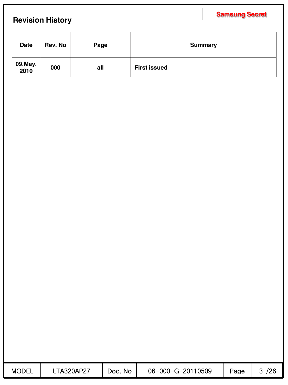# **Samsung Secret Revision History**

| <b>Date</b>     | Rev. No | Page | <b>Summary</b>      |
|-----------------|---------|------|---------------------|
| 09.May.<br>2010 | 000     | all  | <b>First issued</b> |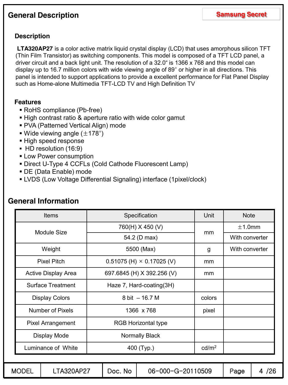# **General Description**

## **Description**

**LTA320AP27** is a color active matrix liquid crystal display (LCD) that uses amorphous silicon TFT (Thin Film Transistor) as switching components. This model is composed of a TFT LCD panel, a driver circuit and a back light unit. The resolution of a 32.0" is 1366 x 768 and this model can display up to 16.7 million colors with wide viewing angle of 89° or higher in all directions. This panel is intended to support applications to provide a excellent performance for Flat Panel Display such as Home-alone Multimedia TFT-LCD TV and High Definition TV

### **Features**

- RoHS compliance (Pb-free)
- High contrast ratio & aperture ratio with wide color gamut
- PVA (Patterned Vertical Align) mode
- Wide viewing angle  $(\pm 178^\circ)$
- High speed response
- HD resolution (16:9)
- **ELOW Power consumption**
- Direct U-Type 4 CCFLs (Cold Cathode Fluorescent Lamp)
- DE (Data Enable) mode
- LVDS (Low Voltage Differential Signaling) interface (1pixel/clock)

| <b>Items</b>             | Specification                      | Unit              | <b>Note</b>    |
|--------------------------|------------------------------------|-------------------|----------------|
| Module Size              | 760(H) X 450 (V)                   |                   | $\pm$ 1.0mm    |
|                          | 54.2 (D max)                       | mm                | With converter |
| Weight                   | 5500 (Max)                         | g                 | With converter |
| <b>Pixel Pitch</b>       | $0.51075$ (H) $\times$ 0.17025 (V) | mm                |                |
| Active Display Area      | 697.6845 (H) X 392.256 (V)         | mm                |                |
| <b>Surface Treatment</b> | Haze 7, Hard-coating(3H)           |                   |                |
| <b>Display Colors</b>    | 8 bit - 16.7 M                     | colors            |                |
| <b>Number of Pixels</b>  | 1366 x 768                         | pixel             |                |
| <b>Pixel Arrangement</b> | <b>RGB Horizontal type</b>         |                   |                |
| Display Mode             | <b>Normally Black</b>              |                   |                |
| Luminance of White       | 400 (Typ.)                         | cd/m <sup>2</sup> |                |

# **General Information**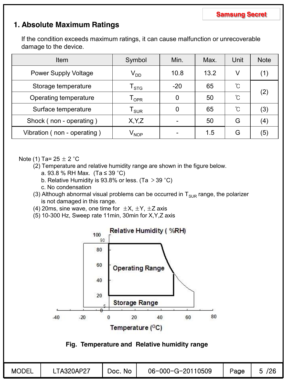# **1. Absolute Maximum Ratings**

If the condition exceeds maximum ratings, it can cause malfunction or unrecoverable damage to the device.

| <b>Item</b>                 | Symbol                      | Min.  | Max. | Unit | <b>Note</b> |
|-----------------------------|-----------------------------|-------|------|------|-------------|
| <b>Power Supply Voltage</b> | $V_{DD}$                    | 10.8  | 13.2 | V    | (1)         |
| Storage temperature         | $\mathsf{T}_{\textsf{STG}}$ | $-20$ | 65   | °C   |             |
| Operating temperature       | OPR                         | 0     | 50   | °C   | (2)         |
| Surface temperature         | SUR                         | 0     | 65   | Ĉ    | (3)         |
| Shock (non - operating)     | X, Y, Z                     |       | 50   | G    | (4)         |
| Vibration (non - operating) | $\mathsf{V}_{\mathsf{NOP}}$ |       | 1.5  | G    | (5)         |

Note (1) Ta=  $25 \pm 2$  °C

- (2) Temperature and relative humidity range are shown in the figure below.
	- a. 93.8 % RH Max. (Ta ≤ 39 °C)
	- b. Relative Humidity is 93.8% or less. (Ta  $>$  39 °C)
	- c. No condensation
- (3) Although abnormal visual problems can be occurred in  $T_{SUR}$  range, the polarizer is not damaged in this range.
- (4) 20ms, sine wave, one time for  $\pm X$ ,  $\pm Y$ ,  $\pm Z$  axis
- (5) 10-300 Hz, Sweep rate 11min, 30min for X,Y,Z axis



MODEL | LTA320AP27 | Doc. No | 06-000-G-20110509 | Page 5 / 26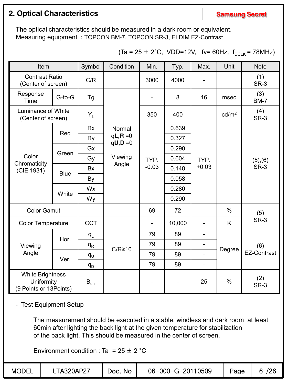# **2. Optical Characteristics Samsung Secret**

The optical characteristics should be measured in a dark room or equivalent. Measuring equipment : TOPCON BM-7, TOPCON SR-3, ELDIM EZ-Contrast

| Item                                                     |              | Symbol                      | Condition                | Min.                     | Typ.   | Max.                     | Unit              | <b>Note</b>             |  |
|----------------------------------------------------------|--------------|-----------------------------|--------------------------|--------------------------|--------|--------------------------|-------------------|-------------------------|--|
| <b>Contrast Ratio</b><br>(Center of screen)              |              | C/R                         |                          | 3000                     | 4000   | $\overline{\phantom{a}}$ |                   | (1)<br><b>SR-3</b>      |  |
| Response<br><b>Time</b>                                  | $G$ -to- $G$ | <b>Tg</b>                   |                          |                          | 8      | 16                       | msec              | (3)<br><b>BM-7</b>      |  |
| Luminance of White<br>(Center of screen)                 |              | $Y_L$                       |                          | 350                      | 400    | $\overline{\phantom{a}}$ | cd/m <sup>2</sup> | (4)<br><b>SR-3</b>      |  |
|                                                          |              | Rx                          | Normal                   |                          | 0.639  |                          |                   |                         |  |
| Color<br>Chromaticity<br>(CIE 1931)                      | Red          | Ry                          | $qL, R = 0$<br>$qU, D=0$ |                          | 0.327  |                          |                   |                         |  |
|                                                          | Green        | Gx                          |                          |                          | 0.290  |                          |                   | (5), (6)<br><b>SR-3</b> |  |
|                                                          |              | Gy                          | Viewing                  | TYP.                     | 0.604  | TYP.                     |                   |                         |  |
|                                                          | <b>Blue</b>  | <b>Bx</b>                   | Angle                    | $-0.03$                  | 0.148  | $+0.03$                  |                   |                         |  |
|                                                          |              | By                          |                          |                          | 0.058  |                          |                   |                         |  |
|                                                          | White        | Wx                          |                          |                          | 0.280  |                          |                   |                         |  |
|                                                          |              | Wy                          |                          |                          | 0.290  |                          |                   |                         |  |
| <b>Color Gamut</b>                                       |              | ÷,                          |                          | 69                       | 72     |                          | $\%$              | (5)                     |  |
| <b>Color Temperature</b>                                 |              | <b>CCT</b>                  |                          | $\blacksquare$           | 10,000 | $\overline{\phantom{a}}$ | K                 | <b>SR-3</b>             |  |
|                                                          |              | $q_L$                       |                          | 79                       | 89     | $\blacksquare$           |                   |                         |  |
| Viewing                                                  | Hor.         | $q_R$                       |                          | 79                       | 89     | $\overline{\phantom{a}}$ |                   | (6)                     |  |
| Angle                                                    |              | $q_{U}$                     | $C/R \ge 10$             | 79                       | 89     | $\blacksquare$           | Degree            | <b>EZ-Contrast</b>      |  |
|                                                          | Ver.         | $q_D$                       |                          | 79                       | 89     | $\overline{a}$           |                   |                         |  |
| White Brightness<br>Uniformity<br>(9 Points or 13Points) |              | $\mathsf{B}_{\mathsf{uni}}$ |                          | $\overline{\phantom{a}}$ |        | 25                       | $\%$              | (2)<br><b>SR-3</b>      |  |

 $(Ta = 25 \pm 2^{\circ}C, \text{ VDD=12V}, \text{fv= 60Hz}, f_{DCLK} = 78 \text{MHz})$ 

- Test Equipment Setup

The measurement should be executed in a stable, windless and dark room at least 60min after lighting the back light at the given temperature for stabilization of the back light. This should be measured in the center of screen.

Environment condition : Ta =  $25 \pm 2$  °C

| <b>MODEL</b> | <b>LTA320AP27</b> | Doc. No | 06-000-G-20110509 | Page | 6/26 |
|--------------|-------------------|---------|-------------------|------|------|
|              |                   |         |                   |      |      |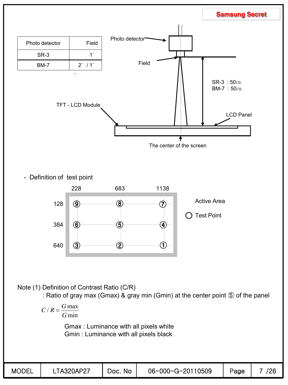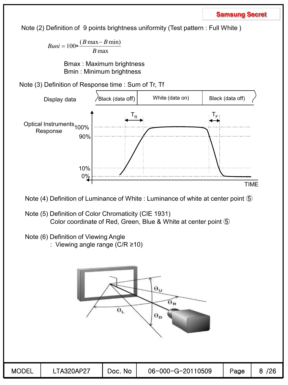Note (2) Definition of 9 points brightness uniformity (Test pattern : Full White )

 $Buni = 100 * \frac{(B \max - B \min)}{B \max}$  $R$  max

> Bmax : Maximum brightness Bmin : Minimum brightness

Note (3) Definition of Response time : Sum of Tr, Tf



Note (4) Definition of Luminance of White : Luminance of white at center point ⑤

- Note (5) Definition of Color Chromaticity (CIE 1931) Color coordinate of Red, Green, Blue & White at center point ⑤
- Note (6) Definition of Viewing Angle
	- : Viewing angle range (C/R ≥10)

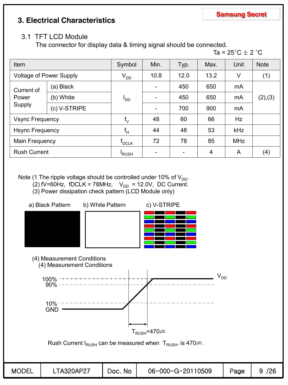# **3. Electrical Characteristics**

### 3.1 TFT LCD Module

The connector for display data & timing signal should be connected.

```
Ta = 25^{\circ}C \pm 2 ^{\circ}C
```

| Item                           |              | Symbol                                    | Min.                     | Typ. | Max. | Unit       | <b>Note</b> |
|--------------------------------|--------------|-------------------------------------------|--------------------------|------|------|------------|-------------|
| <b>Voltage of Power Supply</b> |              | $V_{DD}$                                  | 10.8                     | 12.0 | 13.2 | V          | (1)         |
| Current of<br>Power<br>Supply  | (a) Black    |                                           | $\overline{\phantom{a}}$ | 450  | 650  | mA         |             |
|                                | (b) White    | OD <sup>I</sup>                           | $\overline{\phantom{0}}$ | 450  | 650  | mA         | (2),(3)     |
|                                | (c) V-STRIPE |                                           | ۰                        | 700  | 900  | mA         |             |
| <b>Vsync Frequency</b>         |              | $f_V$                                     | 48                       | 60   | 66   | Hz         |             |
| <b>Hsync Frequency</b>         |              | $f_H$                                     | 44                       | 48   | 53   | <b>kHz</b> |             |
| Main Frequency                 |              | $\boldsymbol{\mathsf{f}}_{\mathsf{DCLK}}$ | 72                       | 78   | 85   | <b>MHz</b> |             |
| <b>Rush Current</b>            |              | <sup>I</sup> RUSH                         | ۰                        |      | 4    | A          | (4)         |

Note (1 The ripple voltage should be controlled under 10% of  $V_{DD}$ .

- (2) fV=60Hz, fDCLK = 78MHz,  $V_{DD}$  = 12.0V, DC Current.
	- (3) Power dissipation check pattern (LCD Module only)

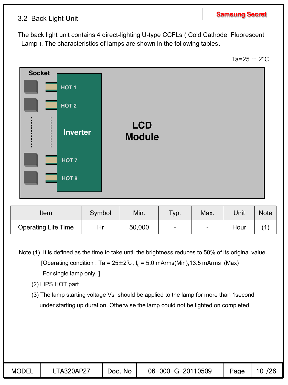## 3.2 Back Light Unit

The back light unit contains 4 direct-lighting U-type CCFLs ( Cold Cathode Fluorescent Lamp ). The characteristics of lamps are shown in the following tables.

Ta=25  $\pm$  2°C

**Samsung Secret**



| Item                       | Symbol | Min.   | Typ.                     | Max.                     | Unit | <b>Note</b> |
|----------------------------|--------|--------|--------------------------|--------------------------|------|-------------|
| <b>Operating Life Time</b> | Hr     | 50,000 | $\overline{\phantom{0}}$ | $\overline{\phantom{0}}$ | Hour |             |

- Note (1) It is defined as the time to take until the brightness reduces to 50% of its original value. [Operating condition : Ta =  $25 \pm 2^{\circ}$ C, I<sub>L</sub> = 5.0 mArms(Min), 13.5 mArms (Max) For single lamp only. ]
	- (2) LIPS HOT part
	- (3) The lamp starting voltage Vs should be applied to the lamp for more than 1second under starting up duration. Otherwise the lamp could not be lighted on completed.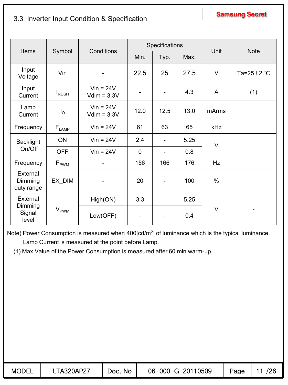# **Samsung Secret** 3.3 Inverter Input Condition & Specification

|                                   |                          |                              |             | Specifications               |      |            |                           |
|-----------------------------------|--------------------------|------------------------------|-------------|------------------------------|------|------------|---------------------------|
| <b>Items</b>                      | Symbol                   | Conditions                   | Min.        | Typ.                         | Max. | Unit       | <b>Note</b>               |
| Input<br>Voltage                  | Vin                      |                              | 22.5        | 25                           | 27.5 | $\vee$     | Ta=25 $\pm$ 2 $\degree$ C |
| Input<br>Current                  | <b>I</b> <sub>RUSH</sub> | $Vin = 24V$<br>$Vdim = 3.3V$ | -           | $\overline{\phantom{a}}$     | 4.3  | A          | (1)                       |
| Lamp<br>Current                   | $I_{\rm O}$              | $Vin = 24V$<br>$Vdim = 3.3V$ | 12.0        | 12.5                         | 13.0 | mArms      |                           |
| Frequency                         | $F_{\mathsf{LAMP}}$      | $Vin = 24V$                  | 61          | 63                           | 65   | <b>kHz</b> |                           |
| <b>Backlight</b>                  | ON                       | $V$ in = 24 $V$              | 2.4         | $\overline{\phantom{a}}$     | 5.25 | $\vee$     |                           |
| On/Off                            | <b>OFF</b>               | $V$ in = 24 $V$              | $\mathbf 0$ | $\qquad \qquad \blacksquare$ | 0.8  |            |                           |
| Frequency                         | $F_{\rm PWM}$            |                              | 156         | 166                          | 176  | <b>Hz</b>  |                           |
| External<br>Dimming<br>duty range | EX_DIM                   |                              | 20          |                              | 100  | $\%$       |                           |
| External                          |                          | High(ON)                     | 3.3         | $\overline{\phantom{a}}$     | 5.25 |            |                           |
| Dimming<br>Signal<br>level        | $V_{\text{PWM}}$         | Low(OFF)                     | -           |                              | 0.4  | $\vee$     |                           |

Note) Power Consumption is measured when 400[cd/m2] of luminance which is the typical luminance.

Lamp Current is measured at the point before Lamp.

(1) Max Value of the Power Consumption is measured after 60 min warm-up.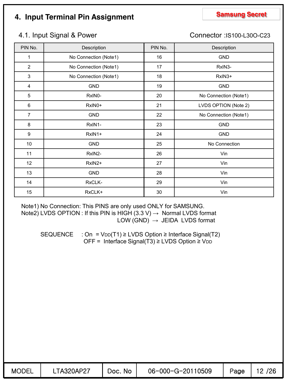# **Samsung Secret 4. Input Terminal Pin Assignment**

### 4.1. Input Signal & Power Connector :IS100-L300-C23

| PIN No.        | Description           | PIN No. | Description           |
|----------------|-----------------------|---------|-----------------------|
| 1              | No Connection (Note1) | 16      | <b>GND</b>            |
| $\overline{2}$ | No Connection (Note1) | 17      | RxIN3-                |
| 3              | No Connection (Note1) | 18      | RxIN3+                |
| 4              | <b>GND</b>            | 19      | <b>GND</b>            |
| 5              | RxIN0-                | 20      | No Connection (Note1) |
| 6              | RxIN0+                | 21      | LVDS OPTION (Note 2)  |
| $\overline{7}$ | <b>GND</b>            | 22      | No Connection (Note1) |
| 8              | RxIN1-                | 23      | <b>GND</b>            |
| 9              | RxIN1+                | 24      | <b>GND</b>            |
| 10             | <b>GND</b>            | 25      | No Connection         |
| 11             | RxIN2-                | 26      | Vin                   |
| 12             | RxIN2+                | 27      | Vin                   |
| 13             | <b>GND</b>            | 28      | Vin                   |
| 14             | RxCLK-                | 29      | Vin                   |
| 15             | RxCLK+                | 30      | Vin                   |

Note1) No Connection: This PINS are only used ONLY for SAMSUNG. Note2) LVDS OPTION : If this PIN is HIGH (3.3 V)  $\rightarrow$  Normal LVDS format LOW  $(GND) \rightarrow JEIDA$  LVDS format

> $SEQUENCE$  : On =  $VDD(T1) \ge LVDS$  Option  $\ge Interface$  Signal(T2) OFF = Interface Signal(T3)  $\geq$  LVDS Option  $\geq$  V<sub>DD</sub>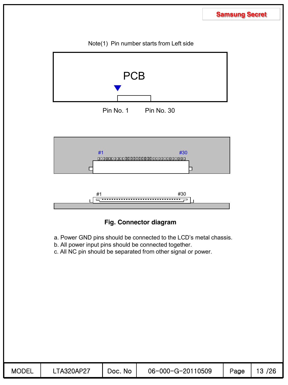

### **Fig. Connector diagram**

- a. Power GND pins should be connected to the LCD's metal chassis.
- b. All power input pins should be connected together.
- c. All NC pin should be separated from other signal or power.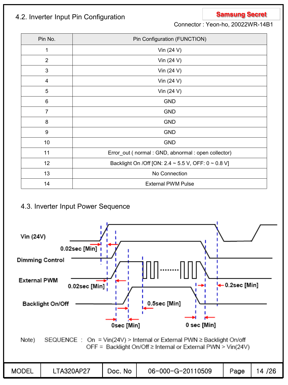# **Samsung Secret** 4.2. Inverter Input Pin Configuration

Connector : Yeon-ho, 20022WR-14B1

| Pin No.        | Pin Configuration (FUNCTION)                         |
|----------------|------------------------------------------------------|
| 1              | Vin $(24 V)$                                         |
| $\overline{2}$ | Vin $(24 V)$                                         |
| 3              | Vin $(24 V)$                                         |
| 4              | Vin $(24 V)$                                         |
| 5              | Vin $(24 V)$                                         |
| 6              | <b>GND</b>                                           |
| $\overline{7}$ | <b>GND</b>                                           |
| 8              | <b>GND</b>                                           |
| 9              | <b>GND</b>                                           |
| 10             | <b>GND</b>                                           |
| 11             | Error_out ( normal : GND, abnormal : open collector) |
| 12             | Backlight On /Off [ON: 2.4 ~ 5.5 V, OFF: 0 ~ 0.8 V]  |
| 13             | No Connection                                        |
| 14             | <b>External PWM Pulse</b>                            |

## 4.3. Inverter Input Power Sequence

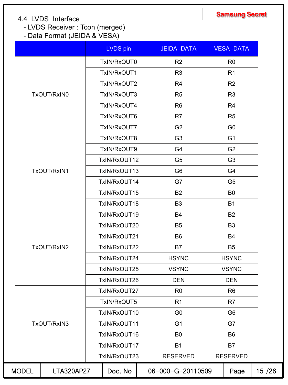- LVDS Receiver : Tcon (merged)

- Data Format (JEIDA & VESA)

|              |             |              | LVDS pin     |                | <b>JEIDA-DATA</b> |                | <b>VESA-DATA</b> |         |
|--------------|-------------|--------------|--------------|----------------|-------------------|----------------|------------------|---------|
|              |             |              | TxIN/RxOUT0  |                | R <sub>2</sub>    |                | R <sub>0</sub>   |         |
|              |             |              | TxIN/RxOUT1  |                | R <sub>3</sub>    |                | R <sub>1</sub>   |         |
|              |             | TxIN/RxOUT2  |              | R <sub>4</sub> |                   | R <sub>2</sub> |                  |         |
|              | TxOUT/RxIN0 | TxIN/RxOUT3  |              | R <sub>5</sub> |                   | R <sub>3</sub> |                  |         |
|              |             |              | TxIN/RxOUT4  |                | R <sub>6</sub>    |                | R <sub>4</sub>   |         |
|              |             |              | TxIN/RxOUT6  |                | R <sub>7</sub>    |                | R <sub>5</sub>   |         |
|              |             |              | TxIN/RxOUT7  |                | G <sub>2</sub>    |                | G <sub>0</sub>   |         |
|              |             |              | TxIN/RxOUT8  |                | G <sub>3</sub>    |                | G <sub>1</sub>   |         |
|              |             |              | TxIN/RxOUT9  |                | G4                |                | G <sub>2</sub>   |         |
|              |             |              | TxIN/RxOUT12 |                | G <sub>5</sub>    |                | G <sub>3</sub>   |         |
|              | TxOUT/RxIN1 |              | TxIN/RxOUT13 |                | G <sub>6</sub>    |                | G4               |         |
|              |             |              | TxIN/RxOUT14 |                | G7                | G <sub>5</sub> |                  |         |
|              |             |              | TxIN/RxOUT15 |                | <b>B2</b>         | B <sub>0</sub> |                  |         |
|              |             |              | TxIN/RxOUT18 |                | B <sub>3</sub>    |                | <b>B1</b>        |         |
|              |             | TxIN/RxOUT19 |              | <b>B4</b>      |                   | <b>B2</b>      |                  |         |
|              |             |              | TxIN/RxOUT20 |                | B <sub>5</sub>    | B <sub>3</sub> |                  |         |
|              |             |              | TxIN/RxOUT21 |                | B <sub>6</sub>    |                | <b>B4</b>        |         |
|              | TxOUT/RxIN2 |              | TxIN/RxOUT22 |                | <b>B7</b>         |                | B <sub>5</sub>   |         |
|              |             |              | TxIN/RxOUT24 |                | <b>HSYNC</b>      |                | <b>HSYNC</b>     |         |
|              |             |              | TxIN/RxOUT25 |                | <b>VSYNC</b>      |                | <b>VSYNC</b>     |         |
|              |             |              | TxIN/RxOUT26 |                | <b>DEN</b>        |                | <b>DEN</b>       |         |
|              |             |              | TxIN/RxOUT27 |                | R <sub>0</sub>    |                | R <sub>6</sub>   |         |
|              |             |              | TxIN/RxOUT5  |                | R <sub>1</sub>    |                | R <sub>7</sub>   |         |
|              |             |              | TxIN/RxOUT10 |                | G <sub>0</sub>    | G <sub>6</sub> |                  |         |
| TxOUT/RxIN3  |             |              | TxIN/RxOUT11 |                | G <sub>1</sub>    | G7             |                  |         |
|              |             |              | TxIN/RxOUT16 |                | B <sub>0</sub>    |                | B <sub>6</sub>   |         |
|              |             |              | TxIN/RxOUT17 |                | <b>B1</b>         |                | B7               |         |
|              |             |              | TxIN/RxOUT23 |                | <b>RESERVED</b>   |                | <b>RESERVED</b>  |         |
| <b>MODEL</b> | LTA320AP27  |              | Doc. No      |                | 06-000-G-20110509 |                | Page             | 15 / 26 |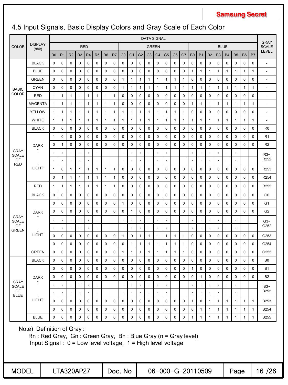### COLOR DISPLAY (8bit) DATA SIGNAL GRAY SCALE LEVEL RED GREEN BLUE R0 | R1 | R2 | R3 | R4 | R5 | R6 | R7 | G0 | G1 | G2 | G3 | G4 | G5 | G6 | G7 | B0 | B1 | B2 | B3 | B4 | B5 | B6 | B7 BASIC COLOR BLACK 0 0 0 0 0 0 0 0 0 0 0 0 0 0 0 0 0 0 0 0 0 0 0 0 - BLUE 0 0 0 0 0 0 0 0 0 0 0 0 0 0 0 0 1 1 1 1 1 1 1 1 - GREEN 0 0 0 0 0 0 0 0 1 1 1 1 1 1 1 1 0 0 0 0 0 0 0 0 - CYAN 0 0 0 0 0 0 0 0 1 1 1 1 1 1 1 1 1 1 1 1 1 1 1 1 - RED 1 1 1 1 1 1 1 1 0 0 0 0 0 0 0 0 0 0 0 0 0 0 0 0 - MAGENTA 1 1 1 1 1 1 1 1 0 0 0 0 0 0 0 0 1 1 1 1 1 1 1 1 - YELLOW 1 1 1 1 1 1 1 1 1 1 1 1 1 1 1 1 0 0 0 0 0 0 0 0 - WHITE 1 1 1 1 1 1 1 1 1 1 1 1 1 1 1 1 1 1 1 1 1 1 1 1 - GRAY SCALE OF RED BLACK 0 0 0 0 0 0 0 0 0 0 0 0 0 0 0 0 0 0 0 0 0 0 0 0 R0 DARK ↑ ↓ LIGHT 1 0 0 0 0 0 0 0 0 0 0 0 0 0 0 0 0 0 0 0 0 0 0 0 R1 0 1 0 0 0 0 0 0 0 0 0 0 0 0 0 0 0 0 0 0 0 0 0 0 R2 : : : : : : : : : : : : : : : : : : R3~ R252 : : : : : : : : : : : : : : : : : : 1 0 1 1 1 1 1 1 0 0 0 0 0 0 0 0 0 0 0 0 0 0 0 0 R253 0 1 1 1 1 1 1 1 0 0 0 0 0 0 0 0 0 0 0 0 0 0 0 0 R254 RED 1 1 1 1 1 1 1 1 0 0 0 0 0 0 0 0 0 0 0 0 0 0 0 0 R255 GRAY **SCALE** OF GREEN BLACK 0 0 0 0 0 0 0 0 0 0 0 0 0 0 0 0 0 0 0 0 0 0 0 0 G0 DARK ↑ ↓ LIGHT 0 0 0 0 0 0 0 0 1 0 0 0 0 0 0 0 0 0 0 0 0 0 0 0 G1 0 0 0 0 0 0 0 0 0 1 0 0 0 0 0 0 0 0 0 0 0 0 0 0 G2 : : : : : : : : : : : : : : : : : : G3~ G252 : : : : : : : : : : : : : : : : : : 0 0 0 0 0 0 0 0 1 0 1 1 1 1 1 1 0 0 0 0 0 0 0 0 G253 0 0 0 0 0 0 0 0 0 1 1 1 1 1 1 1 0 0 0 0 0 0 0 0 G254 GREEN 0 0 0 0 0 0 0 0 1 1 1 1 1 1 1 1 0 0 0 0 0 0 0 0 G255 GRAY **SCALE** OF BLUE BLACK 0 0 0 0 0 0 0 0 0 0 0 0 0 0 0 0 0 0 0 0 0 0 0 0 B0 DARK ↑ ↓ LIGHT 0 0 0 0 0 0 0 0 0 0 0 0 0 0 0 0 1 0 0 0 0 0 0 0 B1 0 0 0 0 0 0 0 0 0 0 0 0 0 0 0 0 0 1 0 0 0 0 0 0 B2 : : : : : : : : : : : : : : : : : : B3~ B252 : : : : : : : : : : : : : : : : : : 0 0 0 0 0 0 0 0 0 0 0 0 0 0 0 0 1 0 1 1 1 1 1 1 B253 0 0 0 0 0 0 0 0 0 0 0 0 0 0 0 0 0 1 1 1 1 1 1 1 B254 BLUE 0 0 0 0 0 0 0 0 0 0 0 0 0 0 0 0 1 1 1 1 1 1 1 1 B255 Note) Definition of Gray : Rn : Red Gray, Gn : Green Gray, Bn : Blue Gray (n = Gray level) Input Signal : 0 = Low level voltage, 1 = High level voltage

### 4.5 Input Signals, Basic Display Colors and Gray Scale of Each Color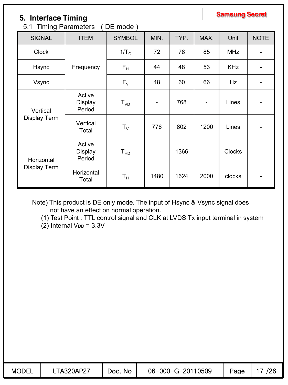# **Samsung Secret 5. Interface Timing**

# 5.1 Timing Parameters ( DE mode )

| <b>SIGNAL</b>              | <b>ITEM</b>                 | <b>SYMBOL</b>              | MIN. | TYP. | MAX.                         | Unit          | <b>NOTE</b>              |
|----------------------------|-----------------------------|----------------------------|------|------|------------------------------|---------------|--------------------------|
| <b>Clock</b>               | $1/T_c$                     | 72                         | 78   | 85   | <b>MHz</b>                   | -             |                          |
| Hsync                      | Frequency                   | $F_H$                      | 44   | 48   | 53                           | <b>KHz</b>    | -                        |
| Vsync                      |                             | $F_V$                      | 48   | 60   | 66                           | Hz            |                          |
| Vertical<br>Display Term   | Active<br>Display<br>Period | $T_{VD}$                   | ۰    | 768  | $\qquad \qquad \blacksquare$ | Lines         |                          |
|                            | Vertical<br>Total           | $T_{V}$                    | 776  | 802  | 1200                         | Lines         |                          |
| Horizontal<br>Display Term | Active<br>Display<br>Period | $\mathsf{T}_{\mathsf{HD}}$ | -    | 1366 | $\overline{\phantom{a}}$     | <b>Clocks</b> | $\overline{\phantom{a}}$ |
|                            | Horizontal<br>Total         | $\mathsf{T}_{\mathsf{H}}$  | 1480 | 1624 | 2000                         | clocks        |                          |

Note) This product is DE only mode. The input of Hsync & Vsync signal does not have an effect on normal operation.

(1) Test Point : TTL control signal and CLK at LVDS Tx input terminal in system

 $(2)$  Internal  $V_{DD} = 3.3V$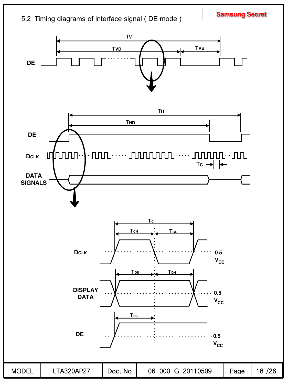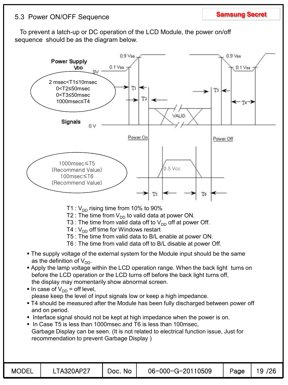# **Samsung Secret** 5.3 Power ON/OFF Sequence

### To prevent a latch-up or DC operation of the LCD Module, the power on/off sequence should be as the diagram below.

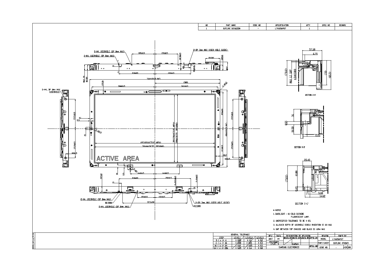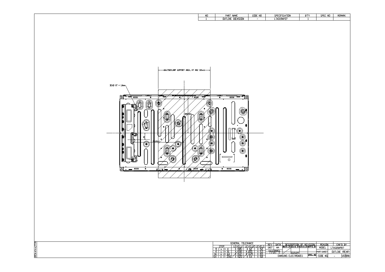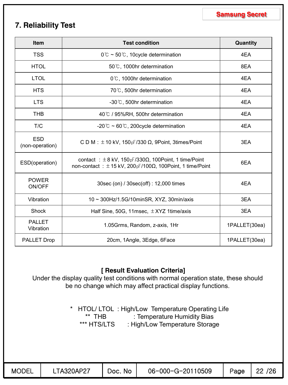# **7. Reliability Test**

| Item                          | <b>Test condition</b>                                                                                                               | Quantity      |
|-------------------------------|-------------------------------------------------------------------------------------------------------------------------------------|---------------|
| <b>TSS</b>                    | 0℃ ~ 50℃, 10cycle determination                                                                                                     | 4EA           |
| <b>HTOL</b>                   | 50°C, 1000hr determination                                                                                                          | 8EA           |
| <b>LTOL</b>                   | 0°C, 1000hr determination                                                                                                           | 4EA           |
| <b>HTS</b>                    | 70°C, 500hr determination                                                                                                           | 4EA           |
| <b>LTS</b>                    | -30°C, 500hr determination                                                                                                          | 4EA           |
| <b>THB</b>                    | 40℃ / 95%RH, 500hr determination                                                                                                    | 4EA           |
| T/C                           | -20 $\degree$ ~ 60 $\degree$ , 200 cycle determination                                                                              | 4EA           |
| <b>ESD</b><br>(non-operation) | C D M : $\pm$ 10 kV, 150 pF/330 $\Omega$ , 9Point, 3times/Point                                                                     | 3EA           |
| ESD(operation)                | contact : $\pm$ 8 kV, 150 pF/330Ω, 100 Point, 1 time/Point<br>non-contact: $\pm$ 15 kV, 200pF/100 $\Omega$ , 100Point, 1 time/Point | 6EA           |
| <b>POWER</b><br>ON/OFF        | 30sec (on) / 30sec(off) : 12,000 times                                                                                              | 4EA           |
| Vibration                     | 10~300Hz/1.5G/10minSR, XYZ, 30min/axis                                                                                              | 3EA           |
| Shock                         | Half Sine, 50G, 11msec, $\pm$ XYZ 1time/axis                                                                                        | 3EA           |
| <b>PALLET</b><br>Vibration    | 1.05Grms, Random, z-axis, 1Hr                                                                                                       | 1PALLET(30ea) |
| <b>PALLET Drop</b>            | 20cm, 1Angle, 3Edge, 6Face                                                                                                          | 1PALLET(30ea) |

### **[ Result Evaluation Criteria]**

Under the display quality test conditions with normal operation state, these should be no change which may affect practical display functions.

> \* HTOL/ LTOL : High/Low Temperature Operating Life<br>
> \*\* THB : Temperature Humidity Bias : Temperature Humidity Bias \*\*\* HTS/LTS : High/Low Temperature Storage

| Model |  |  |
|-------|--|--|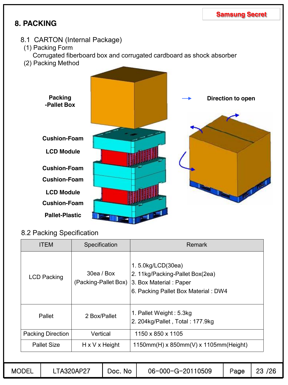# **8. PACKING**

- 8.1 CARTON (Internal Package)
	- (1) Packing Form

Corrugated fiberboard box and corrugated cardboard as shock absorber

(2) Packing Method



### 8.2 Packing Specification

| <b>ITEM</b>              | Specification                      | Remark                                                                                                                      |  |  |
|--------------------------|------------------------------------|-----------------------------------------------------------------------------------------------------------------------------|--|--|
| <b>LCD Packing</b>       | 30ea / Box<br>(Packing-Pallet Box) | $1.5.0$ kg/LCD $(30ea)$<br>2. 11kg/Packing-Pallet Box(2ea)<br>3. Box Material: Paper<br>6. Packing Pallet Box Material: DW4 |  |  |
| <b>Pallet</b>            | 2 Box/Pallet                       | 1. Pallet Weight: 5.3kg<br>2. 204kg/Pallet, Total: 177.9kg                                                                  |  |  |
| <b>Packing Direction</b> | Vertical                           | 1150 x 850 x 1105                                                                                                           |  |  |
| <b>Pallet Size</b>       | $H \times V \times$ Height         | $1150mm(H)$ x 850mm(V) x 1105mm(Height)                                                                                     |  |  |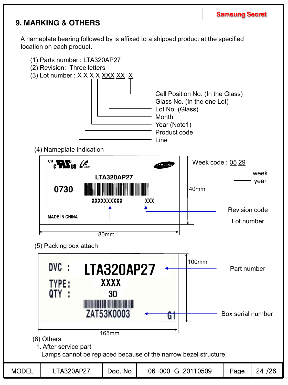# **9. MARKING & OTHERS**

A nameplate bearing followed by is affixed to a shipped product at the specified location on each product.

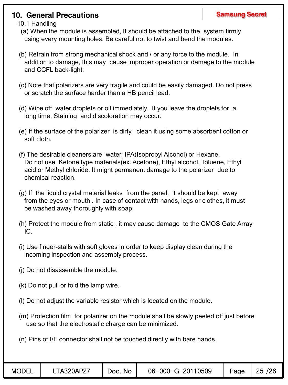### **10. General Precautions and Samsung Secret**

10.1 Handling

(a) When the module is assembled, It should be attached to the system firmly using every mounting holes. Be careful not to twist and bend the modules.

- (b) Refrain from strong mechanical shock and / or any force to the module. In addition to damage, this may cause improper operation or damage to the module and CCFL back-light.
- (c) Note that polarizers are very fragile and could be easily damaged. Do not press or scratch the surface harder than a HB pencil lead.
- (d) Wipe off water droplets or oil immediately. If you leave the droplets for a long time, Staining and discoloration may occur.
- (e) If the surface of the polarizer is dirty, clean it using some absorbent cotton or soft cloth.
- (f) The desirable cleaners are water, IPA(Isopropyl Alcohol) or Hexane. Do not use Ketone type materials(ex. Acetone), Ethyl alcohol, Toluene, Ethyl acid or Methyl chloride. It might permanent damage to the polarizer due to chemical reaction.
- (g) If the liquid crystal material leaks from the panel, it should be kept away from the eyes or mouth . In case of contact with hands, legs or clothes, it must be washed away thoroughly with soap.
- (h) Protect the module from static , it may cause damage to the CMOS Gate Array IC.
- (i) Use finger-stalls with soft gloves in order to keep display clean during the incoming inspection and assembly process.
- (j) Do not disassemble the module.
- (k) Do not pull or fold the lamp wire.
- (l) Do not adjust the variable resistor which is located on the module.
- (m) Protection film for polarizer on the module shall be slowly peeled off just before use so that the electrostatic charge can be minimized.
- (n) Pins of I/F connector shall not be touched directly with bare hands.